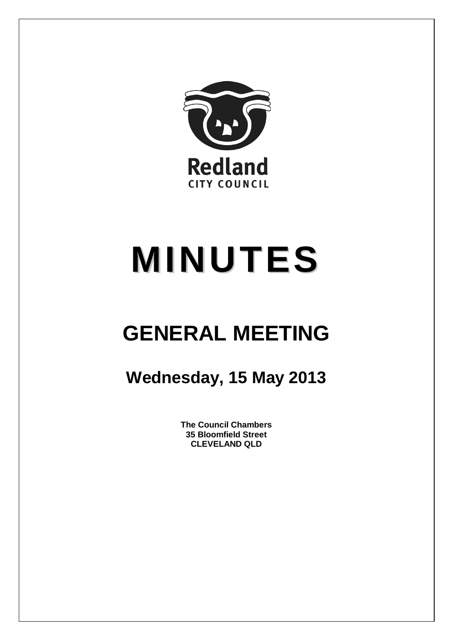

# **MINUTES**

## **GENERAL MEETING**

### **Wednesday, 15 May 2013**

**The Council Chambers 35 Bloomfield Street CLEVELAND QLD**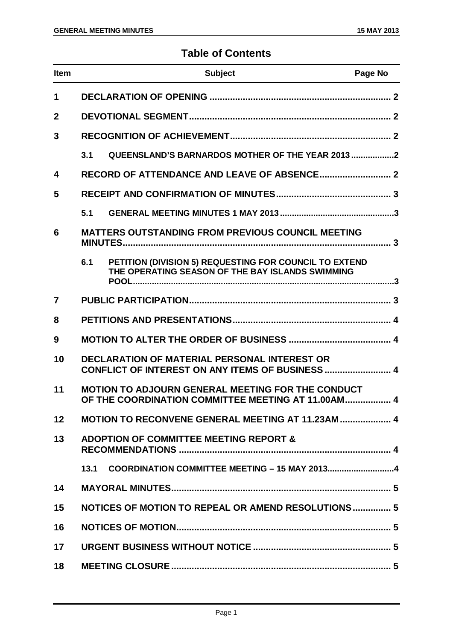#### **Table of Contents**

| <b>Item</b>    |      | <b>Subject</b>                                                                                             | Page No |
|----------------|------|------------------------------------------------------------------------------------------------------------|---------|
| $\mathbf 1$    |      |                                                                                                            |         |
| $\mathbf{2}$   |      |                                                                                                            |         |
| 3              |      |                                                                                                            |         |
|                | 3.1  | QUEENSLAND'S BARNARDOS MOTHER OF THE YEAR 2013 2                                                           |         |
| 4              |      |                                                                                                            |         |
| 5              |      |                                                                                                            |         |
|                | 5.1  |                                                                                                            |         |
| 6              |      | <b>MATTERS OUTSTANDING FROM PREVIOUS COUNCIL MEETING</b>                                                   |         |
|                | 6.1  | PETITION (DIVISION 5) REQUESTING FOR COUNCIL TO EXTEND<br>THE OPERATING SEASON OF THE BAY ISLANDS SWIMMING |         |
| $\overline{7}$ |      |                                                                                                            |         |
| 8              |      |                                                                                                            |         |
| 9              |      |                                                                                                            |         |
| 10             |      | DECLARATION OF MATERIAL PERSONAL INTEREST OR<br>CONFLICT OF INTEREST ON ANY ITEMS OF BUSINESS  4           |         |
| 11             |      | MOTION TO ADJOURN GENERAL MEETING FOR THE CONDUCT<br>OF THE COORDINATION COMMITTEE MEETING AT 11.00AM 4    |         |
| 12             |      | MOTION TO RECONVENE GENERAL MEETING AT 11.23AM  4                                                          |         |
| 13             |      | <b>ADOPTION OF COMMITTEE MEETING REPORT &amp;</b>                                                          |         |
|                | 13.1 |                                                                                                            |         |
| 14             |      |                                                                                                            |         |
| 15             |      | NOTICES OF MOTION TO REPEAL OR AMEND RESOLUTIONS 5                                                         |         |
| 16             |      |                                                                                                            |         |
| 17             |      |                                                                                                            |         |
| 18             |      |                                                                                                            |         |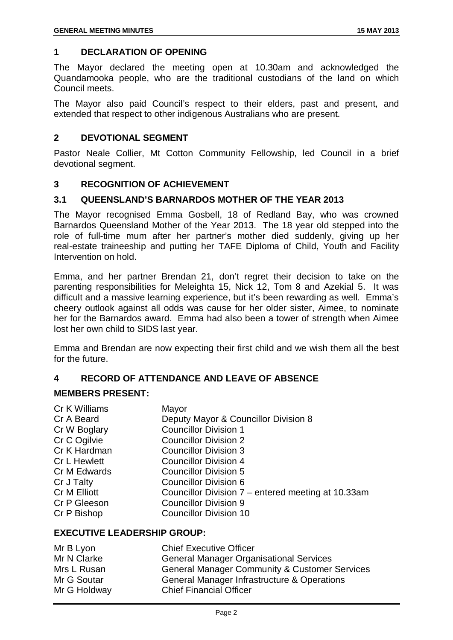#### <span id="page-2-0"></span>**1 DECLARATION OF OPENING**

The Mayor declared the meeting open at 10.30am and acknowledged the Quandamooka people, who are the traditional custodians of the land on which Council meets.

The Mayor also paid Council's respect to their elders, past and present, and extended that respect to other indigenous Australians who are present.

#### <span id="page-2-1"></span>**2 DEVOTIONAL SEGMENT**

Pastor Neale Collier, Mt Cotton Community Fellowship, led Council in a brief devotional segment.

#### <span id="page-2-2"></span>**3 RECOGNITION OF ACHIEVEMENT**

#### <span id="page-2-3"></span>**3.1 QUEENSLAND'S BARNARDOS MOTHER OF THE YEAR 2013**

The Mayor recognised Emma Gosbell, 18 of Redland Bay, who was crowned Barnardos Queensland Mother of the Year 2013. The 18 year old stepped into the role of full-time mum after her partner's mother died suddenly, giving up her real-estate traineeship and putting her TAFE Diploma of Child, Youth and Facility Intervention on hold.

Emma, and her partner Brendan 21, don't regret their decision to take on the parenting responsibilities for Meleighta 15, Nick 12, Tom 8 and Azekial 5. It was difficult and a massive learning experience, but it's been rewarding as well. Emma's cheery outlook against all odds was cause for her older sister, Aimee, to nominate her for the Barnardos award. Emma had also been a tower of strength when Aimee lost her own child to SIDS last year.

Emma and Brendan are now expecting their first child and we wish them all the best for the future.

#### <span id="page-2-4"></span>**4 RECORD OF ATTENDANCE AND LEAVE OF ABSENCE**

#### **MEMBERS PRESENT:**

| Cr K Williams<br>Cr A Beard<br>Cr W Boglary<br>Cr C Ogilvie<br>Cr K Hardman<br><b>Cr L Hewlett</b><br>Cr M Edwards | Mayor<br>Deputy Mayor & Councillor Division 8<br><b>Councillor Division 1</b><br><b>Councillor Division 2</b><br><b>Councillor Division 3</b><br>Councillor Division 4<br><b>Councillor Division 5</b> |
|--------------------------------------------------------------------------------------------------------------------|--------------------------------------------------------------------------------------------------------------------------------------------------------------------------------------------------------|
|                                                                                                                    |                                                                                                                                                                                                        |
|                                                                                                                    |                                                                                                                                                                                                        |
|                                                                                                                    |                                                                                                                                                                                                        |
| Cr J Talty                                                                                                         | <b>Councillor Division 6</b>                                                                                                                                                                           |
| Cr M Elliott                                                                                                       | Councillor Division 7 – entered meeting at 10.33am                                                                                                                                                     |
| Cr P Gleeson                                                                                                       | <b>Councillor Division 9</b>                                                                                                                                                                           |
| Cr P Bishop                                                                                                        | <b>Councillor Division 10</b>                                                                                                                                                                          |

#### **EXECUTIVE LEADERSHIP GROUP:**

| Mr B Lyon    | <b>Chief Executive Officer</b>                           |
|--------------|----------------------------------------------------------|
| Mr N Clarke  | <b>General Manager Organisational Services</b>           |
| Mrs L Rusan  | <b>General Manager Community &amp; Customer Services</b> |
| Mr G Soutar  | General Manager Infrastructure & Operations              |
| Mr G Holdway | <b>Chief Financial Officer</b>                           |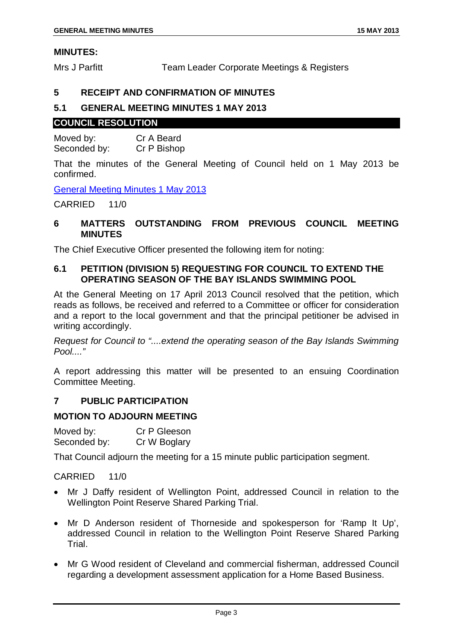#### **MINUTES:**

Mrs J Parfitt Team Leader Corporate Meetings & Registers

#### <span id="page-3-0"></span>**5 RECEIPT AND CONFIRMATION OF MINUTES**

#### <span id="page-3-1"></span>**5.1 GENERAL MEETING MINUTES 1 MAY 2013**

#### **COUNCIL RESOLUTION**

Moved by: Cr A Beard<br>Seconded by: Cr P Bishop Seconded by:

That the minutes of the General Meeting of Council held on 1 May 2013 be confirmed.

General Meeting Minutes 1 May 2013

CARRIED 11/0

#### <span id="page-3-2"></span>**6 MATTERS OUTSTANDING FROM PREVIOUS COUNCIL MEETING MINUTES**

The Chief Executive Officer presented the following item for noting:

#### <span id="page-3-3"></span>**6.1 PETITION (DIVISION 5) REQUESTING FOR COUNCIL TO EXTEND THE OPERATING SEASON OF THE BAY ISLANDS SWIMMING POOL**

At the General Meeting on 17 April 2013 Council resolved that the petition, which reads as follows, be received and referred to a Committee or officer for consideration and a report to the local government and that the principal petitioner be advised in writing accordingly.

*Request for Council to "....extend the operating season of the Bay Islands Swimming Pool...."*

A report addressing this matter will be presented to an ensuing Coordination Committee Meeting.

#### <span id="page-3-4"></span>**7 PUBLIC PARTICIPATION**

#### **MOTION TO ADJOURN MEETING**

Moved by: Cr P Gleeson Seconded by: Cr W Boglary

That Council adjourn the meeting for a 15 minute public participation segment.

#### CARRIED 11/0

- Mr J Daffy resident of Wellington Point, addressed Council in relation to the Wellington Point Reserve Shared Parking Trial.
- Mr D Anderson resident of Thorneside and spokesperson for 'Ramp It Up', addressed Council in relation to the Wellington Point Reserve Shared Parking Trial.
- Mr G Wood resident of Cleveland and commercial fisherman, addressed Council regarding a development assessment application for a Home Based Business.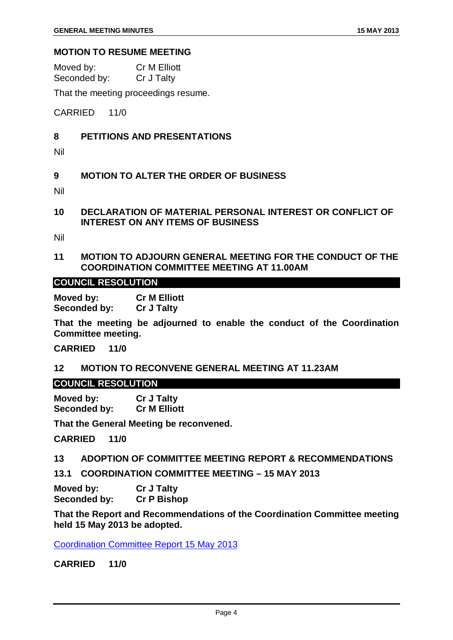#### **MOTION TO RESUME MEETING**

| Moved by:    | <b>Cr M Elliott</b> |
|--------------|---------------------|
| Seconded by: | Cr J Talty          |

That the meeting proceedings resume.

CARRIED 11/0

#### <span id="page-4-0"></span>**8 PETITIONS AND PRESENTATIONS**

Nil

#### <span id="page-4-1"></span>**9 MOTION TO ALTER THE ORDER OF BUSINESS**

Nil

<span id="page-4-2"></span>**10 DECLARATION OF MATERIAL PERSONAL INTEREST OR CONFLICT OF INTEREST ON ANY ITEMS OF BUSINESS**

Nil

<span id="page-4-3"></span>**11 MOTION TO ADJOURN GENERAL MEETING FOR THE CONDUCT OF THE COORDINATION COMMITTEE MEETING AT 11.00AM**

#### **COUNCIL RESOLUTION**

**Moved by: Cr M Elliott Seconded by: Cr J Talty**

**That the meeting be adjourned to enable the conduct of the Coordination Committee meeting.**

**CARRIED 11/0**

#### <span id="page-4-4"></span>**12 MOTION TO RECONVENE GENERAL MEETING AT 11.23AM**

#### **COUNCIL RESOLUTION**

**Moved by: Cr J Talty Seconded by: Cr M Elliott**

**That the General Meeting be reconvened.**

**CARRIED 11/0**

#### <span id="page-4-5"></span>**13 ADOPTION OF COMMITTEE MEETING REPORT & RECOMMENDATIONS**

<span id="page-4-6"></span>**13.1 COORDINATION COMMITTEE MEETING – 15 MAY 2013**

**Moved by: Cr J Talty Seconded by: Cr P Bishop**

**That the Report and Recommendations of the Coordination Committee meeting held 15 May 2013 be adopted.**

Coordination Committee Report 15 May 2013

**CARRIED 11/0**